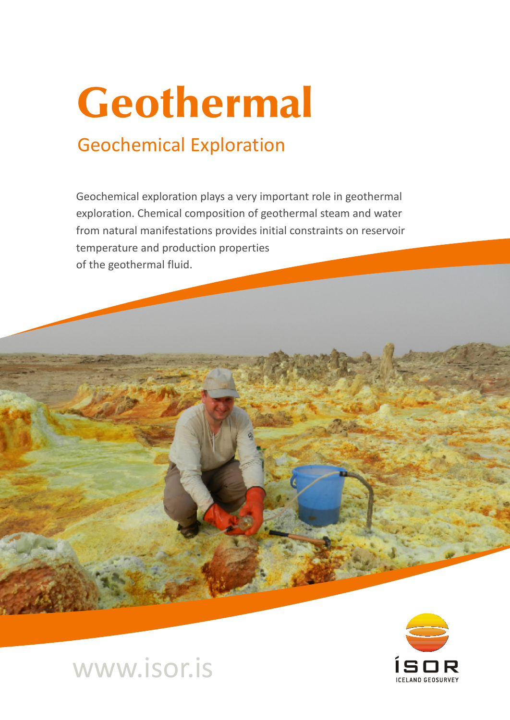# Geothermal

### Geochemical Exploration

Geochemical exploration plays a very important role in geothermal exploration. Chemical composition of geothermal steam and water from natural manifestations provides initial constraints on reservoir temperature and production properties of the geothermal fluid.



## www.isor.is